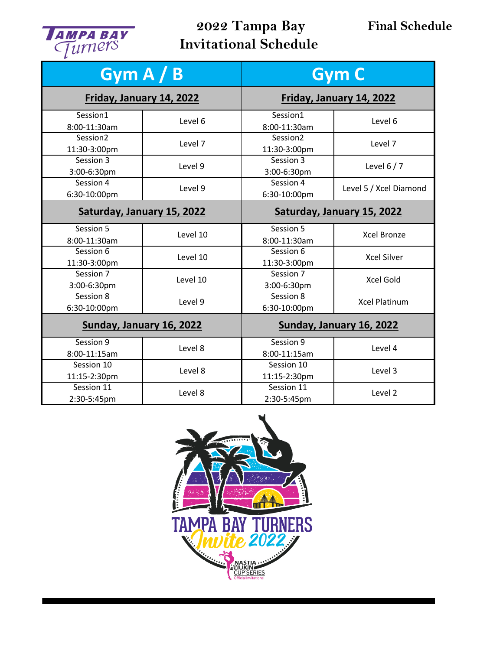

## **2022 Tampa Bay Invitational Schedule**

| Gym $A/B$                  |          | <b>Gym C</b>               |                        |
|----------------------------|----------|----------------------------|------------------------|
| Friday, January 14, 2022   |          | Friday, January 14, 2022   |                        |
| Session1<br>8:00-11:30am   | Level 6  | Session1<br>8:00-11:30am   | Level 6                |
| Session2<br>11:30-3:00pm   | Level 7  | Session2<br>11:30-3:00pm   | Level 7                |
| Session 3<br>3:00-6:30pm   | Level 9  | Session 3<br>3:00-6:30pm   | Level $6/7$            |
| Session 4<br>6:30-10:00pm  | Level 9  | Session 4<br>6:30-10:00pm  | Level 5 / Xcel Diamond |
| Saturday, January 15, 2022 |          | Saturday, January 15, 2022 |                        |
| Session 5<br>8:00-11:30am  | Level 10 | Session 5<br>8:00-11:30am  | <b>Xcel Bronze</b>     |
| Session 6<br>11:30-3:00pm  | Level 10 | Session 6<br>11:30-3:00pm  | <b>Xcel Silver</b>     |
| Session 7<br>3:00-6:30pm   | Level 10 | Session 7<br>3:00-6:30pm   | Xcel Gold              |
| Session 8<br>6:30-10:00pm  | Level 9  | Session 8<br>6:30-10:00pm  | <b>Xcel Platinum</b>   |
| Sunday, January 16, 2022   |          | Sunday, January 16, 2022   |                        |
| Session 9<br>8:00-11:15am  | Level 8  | Session 9<br>8:00-11:15am  | Level 4                |
| Session 10<br>11:15-2:30pm | Level 8  | Session 10<br>11:15-2:30pm | Level 3                |
| Session 11<br>2:30-5:45pm  | Level 8  | Session 11<br>2:30-5:45pm  | Level 2                |

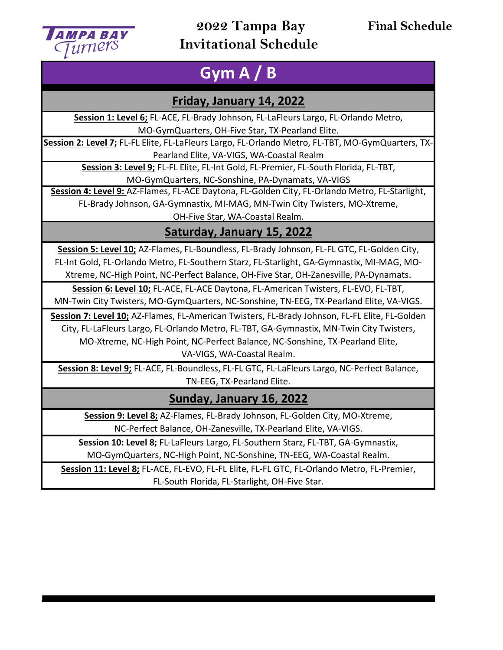

### **2022 Tampa Bay Invitational Schedule**

### **Final Schedule**

# **Gym A / B**

#### **Friday, January 14, 2022**

**Session 1: Level 6;** FL-ACE, FL-Brady Johnson, FL-LaFleurs Largo, FL-Orlando Metro, MO-GymQuarters, OH-Five Star, TX-Pearland Elite.

**Session 2: Level 7;** FL-FL Elite, FL-LaFleurs Largo, FL-Orlando Metro, FL-TBT, MO-GymQuarters, TX-Pearland Elite, VA-VIGS, WA-Coastal Realm

**Session 3: Level 9;** FL-FL Elite, FL-Int Gold, FL-Premier, FL-South Florida, FL-TBT, MO-GymQuarters, NC-Sonshine, PA-Dynamats, VA-VIGS

**Session 4: Level 9:** AZ-Flames, FL-ACE Daytona, FL-Golden City, FL-Orlando Metro, FL-Starlight, FL-Brady Johnson, GA-Gymnastix, MI-MAG, MN-Twin City Twisters, MO-Xtreme,

OH-Five Star, WA-Coastal Realm.

### **Saturday, January 15, 2022**

**Session 5: Level 10;** AZ-Flames, FL-Boundless, FL-Brady Johnson, FL-FL GTC, FL-Golden City, FL-Int Gold, FL-Orlando Metro, FL-Southern Starz, FL-Starlight, GA-Gymnastix, MI-MAG, MO-Xtreme, NC-High Point, NC-Perfect Balance, OH-Five Star, OH-Zanesville, PA-Dynamats.

**Session 6: Level 10;** FL-ACE, FL-ACE Daytona, FL-American Twisters, FL-EVO, FL-TBT, MN-Twin City Twisters, MO-GymQuarters, NC-Sonshine, TN-EEG, TX-Pearland Elite, VA-VIGS.

**Session 7: Level 10;** AZ-Flames, FL-American Twisters, FL-Brady Johnson, FL-FL Elite, FL-Golden City, FL-LaFleurs Largo, FL-Orlando Metro, FL-TBT, GA-Gymnastix, MN-Twin City Twisters, MO-Xtreme, NC-High Point, NC-Perfect Balance, NC-Sonshine, TX-Pearland Elite, VA-VIGS, WA-Coastal Realm.

**Session 8: Level 9;** FL-ACE, FL-Boundless, FL-FL GTC, FL-LaFleurs Largo, NC-Perfect Balance, TN-EEG, TX-Pearland Elite.

**Sunday, January 16, 2022**

**Session 9: Level 8;** AZ-Flames, FL-Brady Johnson, FL-Golden City, MO-Xtreme, NC-Perfect Balance, OH-Zanesville, TX-Pearland Elite, VA-VIGS.

**Session 10: Level 8;** FL-LaFleurs Largo, FL-Southern Starz, FL-TBT, GA-Gymnastix, MO-GymQuarters, NC-High Point, NC-Sonshine, TN-EEG, WA-Coastal Realm.

**Session 11: Level 8;** FL-ACE, FL-EVO, FL-FL Elite, FL-FL GTC, FL-Orlando Metro, FL-Premier, FL-South Florida, FL-Starlight, OH-Five Star.